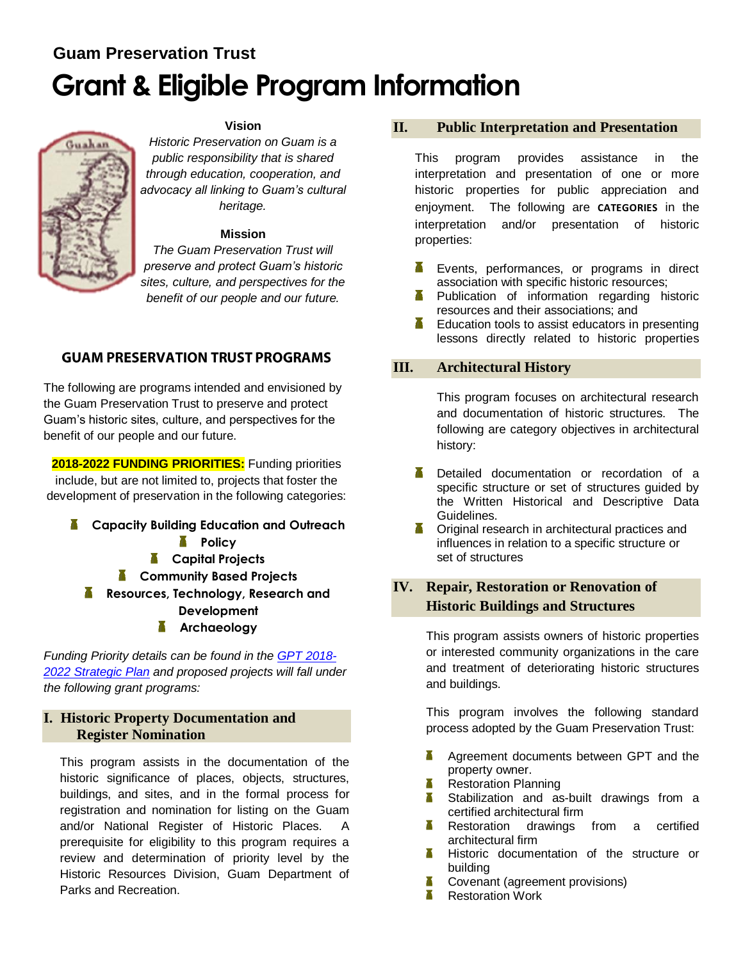# **Guam Preservation Trust Grant & Eligible Program Information**



### **Vision**

*Historic Preservation on Guam is a public responsibility that is shared through education, cooperation, and advocacy all linking to Guam's cultural heritage.*

### **Mission**

*The Guam Preservation Trust will preserve and protect Guam's historic sites, culture, and perspectives for the benefit of our people and our future.*

# **GUAM PRESERVATION TRUST PROGRAMS**

The following are programs intended and envisioned by the Guam Preservation Trust to preserve and protect Guam's historic sites, culture, and perspectives for the benefit of our people and our future.

**2018-2022 FUNDING PRIORITIES:** Funding priorities include, but are not limited to, projects that foster the development of preservation in the following categories:

**Capacity Building Education and Outreach A** Policy **Capital Projects A** Community Based Projects **Resources, Technology, Research and Development Archaeology**

*Funding Priority details can be found in the [GPT 2018-](http://guampreservationtrust.org/wp-content/uploads/five-year-strategic-plan-2018-2022.pdf) [2022 Strategic Plan](http://guampreservationtrust.org/wp-content/uploads/five-year-strategic-plan-2018-2022.pdf) and proposed projects will fall under the following grant programs:* 

# **I. Historic Property Documentation and Register Nomination**

This program assists in the documentation of the historic significance of places, objects, structures, buildings, and sites, and in the formal process for registration and nomination for listing on the Guam and/or National Register of Historic Places. A prerequisite for eligibility to this program requires a review and determination of priority level by the Historic Resources Division, Guam Department of Parks and Recreation.

# **II. Public Interpretation and Presentation**

This program provides assistance in the interpretation and presentation of one or more historic properties for public appreciation and enjoyment. The following are **CATEGORIES** in the interpretation and/or presentation of historic properties:

- Ж Events, performances, or programs in direct association with specific historic resources;
- Publication of information regarding historic resources and their associations; and
- Education tools to assist educators in presenting lessons directly related to historic properties

# **III. Architectural History**

This program focuses on architectural research and documentation of historic structures. The following are category objectives in architectural history:

- Т Detailed documentation or recordation of a specific structure or set of structures guided by the Written Historical and Descriptive Data Guidelines.
- X. Original research in architectural practices and influences in relation to a specific structure or set of structures

# **IV. Repair, Restoration or Renovation of Historic Buildings and Structures**

This program assists owners of historic properties or interested community organizations in the care and treatment of deteriorating historic structures and buildings.

This program involves the following standard process adopted by the Guam Preservation Trust:

- Agreement documents between GPT and the Y. property owner.
- Restoration Planning
- Stabilization and as-built drawings from a X. certified architectural firm<br>**K** Restoration drawings
- drawings from a certified architectural firm
- **Historic documentation of the structure or** building
- 不一 Covenant (agreement provisions)
- **K** Restoration Work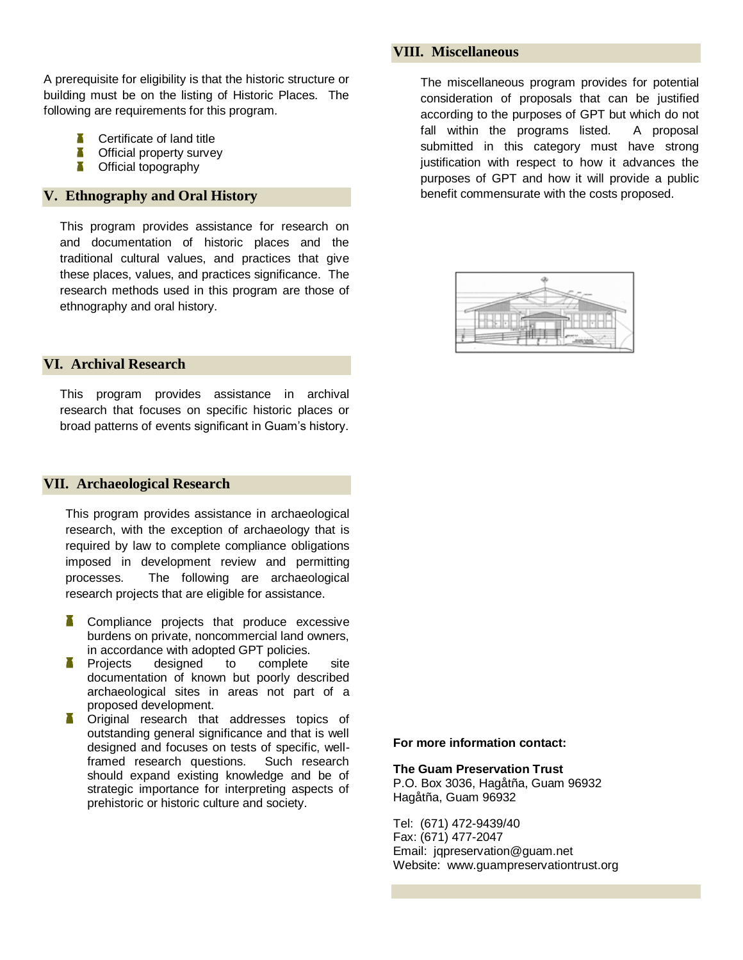A prerequisite for eligibility is that the historic structure or building must be on the listing of Historic Places. The following are requirements for this program.

- Certificate of land title
- Т Official property survey
- Τ Official topography

### **V. Ethnography and Oral History**

This program provides assistance for research on and documentation of historic places and the traditional cultural values, and practices that give these places, values, and practices significance. The research methods used in this program are those of ethnography and oral history.

### **VI. Archival Research**

This program provides assistance in archival research that focuses on specific historic places or broad patterns of events significant in Guam's history.

### **VII. Archaeological Research**

This program provides assistance in archaeological research, with the exception of archaeology that is required by law to complete compliance obligations imposed in development review and permitting processes. The following are archaeological research projects that are eligible for assistance.

- Compliance projects that produce excessive burdens on private, noncommercial land owners, in accordance with adopted GPT policies.
- **Projects designed to complete site** documentation of known but poorly described archaeological sites in areas not part of a proposed development.
- **T** Original research that addresses topics of outstanding general significance and that is well designed and focuses on tests of specific, wellframed research questions. Such research should expand existing knowledge and be of strategic importance for interpreting aspects of prehistoric or historic culture and society.

### **VIII. Miscellaneous**

The miscellaneous program provides for potential consideration of proposals that can be justified according to the purposes of GPT but which do not fall within the programs listed. A proposal submitted in this category must have strong justification with respect to how it advances the purposes of GPT and how it will provide a public benefit commensurate with the costs proposed.



### **For more information contact:**

**The Guam Preservation Trust** P.O. Box 3036, Hagåtña, Guam 96932 Hagåtña, Guam 96932

Tel: (671) 472-9439/40 Fax: (671) 477-2047 Email: jqpreservation@guam.net Website: www.guampreservationtrust.org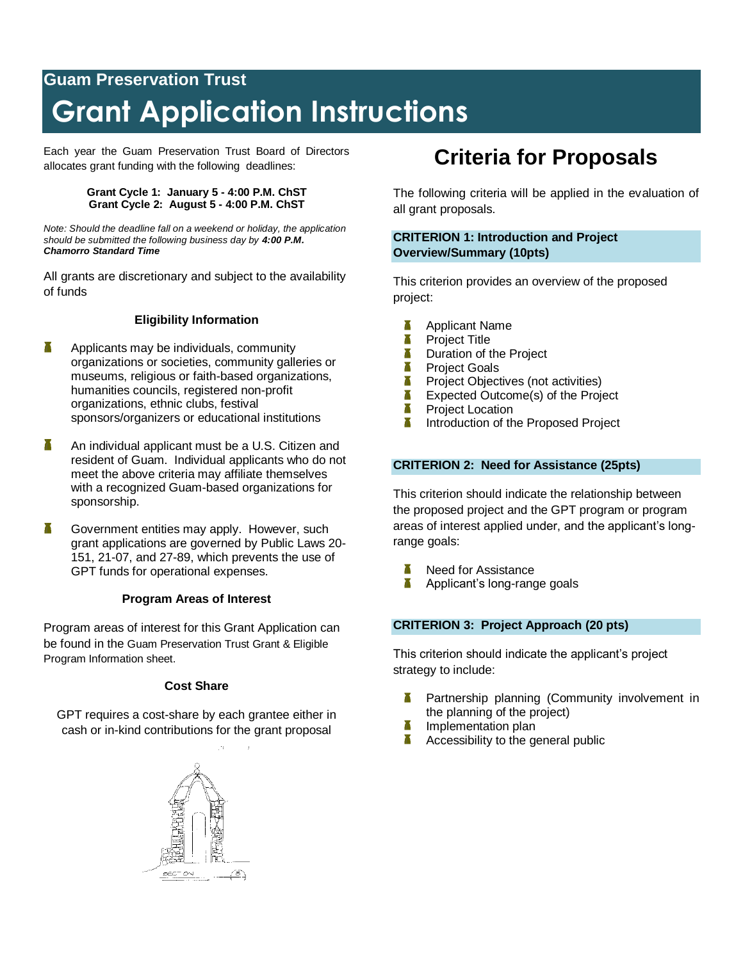# **Guam Preservation Trust Grant Application Instructions**

Each year the Guam Preservation Trust Board of Directors allocates grant funding with the following deadlines:

### **Grant Cycle 1: January 5 - 4:00 P.M. ChST Grant Cycle 2: August 5 - 4:00 P.M. ChST**

*Note: Should the deadline fall on a weekend or holiday, the application should be submitted the following business day by 4:00 P.M. Chamorro Standard Time*

All grants are discretionary and subject to the availability of funds

# **Eligibility Information**

- Χ Applicants may be individuals, community organizations or societies, community galleries or museums, religious or faith-based organizations, humanities councils, registered non-profit organizations, ethnic clubs, festival sponsors/organizers or educational institutions
- X An individual applicant must be a U.S. Citizen and resident of Guam. Individual applicants who do not meet the above criteria may affiliate themselves with a recognized Guam-based organizations for sponsorship.
- Government entities may apply. However, such grant applications are governed by Public Laws 20- 151, 21-07, and 27-89, which prevents the use of GPT funds for operational expenses.

# **Program Areas of Interest**

Program areas of interest for this Grant Application can be found in the Guam Preservation Trust Grant & Eligible Program Information sheet.

# **Cost Share**

GPT requires a cost-share by each grantee either in cash or in-kind contributions for the grant proposal



# **Criteria for Proposals**

The following criteria will be applied in the evaluation of all grant proposals.

# **CRITERION 1: Introduction and Project Overview/Summary (10pts)**

This criterion provides an overview of the proposed project:

- Applicant Name
- Π Project Title
- Χ Duration of the Project
- Ŧ Project Goals
- Т Project Objectives (not activities)
- П Expected Outcome(s) of the Project
- Π Project Location
- П Introduction of the Proposed Project

# **CRITERION 2: Need for Assistance (25pts)**

This criterion should indicate the relationship between the proposed project and the GPT program or program areas of interest applied under, and the applicant's longrange goals:

- Need for Assistance
- π Applicant's long-range goals

# **CRITERION 3: Project Approach (20 pts)**

This criterion should indicate the applicant's project strategy to include:

- Partnership planning (Community involvement in the planning of the project)
- Implementation plan
- Accessibility to the general public